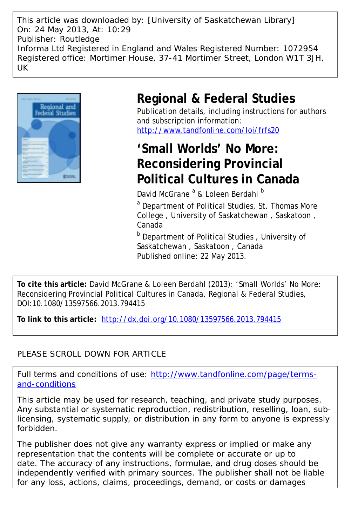This article was downloaded by: [University of Saskatchewan Library] On: 24 May 2013, At: 10:29 Publisher: Routledge Informa Ltd Registered in England and Wales Registered Number: 1072954 Registered office: Mortimer House, 37-41 Mortimer Street, London W1T 3JH, UK



### **Regional & Federal Studies**

Publication details, including instructions for authors and subscription information: <http://www.tandfonline.com/loi/frfs20>

## **'Small Worlds' No More: Reconsidering Provincial Political Cultures in Canada**

David McGrane<sup>a</sup> & Loleen Berdahl<sup>b</sup>

<sup>a</sup> Department of Political Studies, St. Thomas More College , University of Saskatchewan , Saskatoon , Canada

**b** Department of Political Studies, University of Saskatchewan , Saskatoon , Canada Published online: 22 May 2013.

**To cite this article:** David McGrane & Loleen Berdahl (2013): 'Small Worlds' No More: Reconsidering Provincial Political Cultures in Canada, Regional & Federal Studies, DOI:10.1080/13597566.2013.794415

**To link to this article:** <http://dx.doi.org/10.1080/13597566.2013.794415>

### PLEASE SCROLL DOWN FOR ARTICLE

Full terms and conditions of use: [http://www.tandfonline.com/page/terms](http://www.tandfonline.com/page/terms-and-conditions)[and-conditions](http://www.tandfonline.com/page/terms-and-conditions)

This article may be used for research, teaching, and private study purposes. Any substantial or systematic reproduction, redistribution, reselling, loan, sublicensing, systematic supply, or distribution in any form to anyone is expressly forbidden.

The publisher does not give any warranty express or implied or make any representation that the contents will be complete or accurate or up to date. The accuracy of any instructions, formulae, and drug doses should be independently verified with primary sources. The publisher shall not be liable for any loss, actions, claims, proceedings, demand, or costs or damages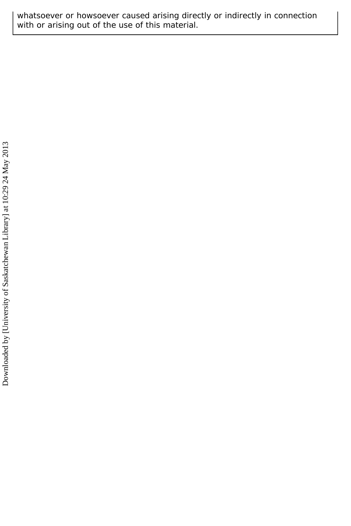whatsoever or howsoever caused arising directly or indirectly in connection with or arising out of the use of this material.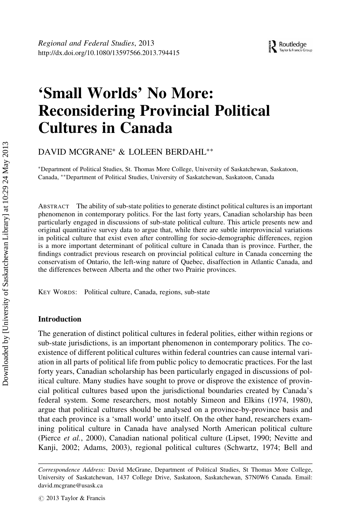# 'Small Worlds' No More: Reconsidering Provincial Political Cultures in Canada

### DAVID MCGRANE<sup>∗</sup> & LOLEEN BERDAHL∗∗

<sup>∗</sup>Department of Political Studies, St. Thomas More College, University of Saskatchewan, Saskatoon, Canada, ∗∗Department of Political Studies, University of Saskatchewan, Saskatoon, Canada

ABSTRACT The ability of sub-state polities to generate distinct political cultures is an important phenomenon in contemporary politics. For the last forty years, Canadian scholarship has been particularly engaged in discussions of sub-state political culture. This article presents new and original quantitative survey data to argue that, while there are subtle interprovincial variations in political culture that exist even after controlling for socio-demographic differences, region is a more important determinant of political culture in Canada than is province. Further, the findings contradict previous research on provincial political culture in Canada concerning the conservatism of Ontario, the left-wing nature of Quebec, disaffection in Atlantic Canada, and the differences between Alberta and the other two Prairie provinces.

KEY WORDS: Political culture, Canada, regions, sub-state

#### Introduction

The generation of distinct political cultures in federal polities, either within regions or sub-state jurisdictions, is an important phenomenon in contemporary politics. The coexistence of different political cultures within federal countries can cause internal variation in all parts of political life from public policy to democratic practices. For the last forty years, Canadian scholarship has been particularly engaged in discussions of political culture. Many studies have sought to prove or disprove the existence of provincial political cultures based upon the jurisdictional boundaries created by Canada's federal system. Some researchers, most notably Simeon and Elkins (1974, 1980), argue that political cultures should be analysed on a province-by-province basis and that each province is a 'small world' unto itself. On the other hand, researchers examining political culture in Canada have analysed North American political culture (Pierce *et al.*, 2000), Canadian national political culture (Lipset, 1990; Nevitte and Kanji, 2002; Adams, 2003), regional political cultures (Schwartz, 1974; Bell and

Correspondence Address: David McGrane, Department of Political Studies, St Thomas More College, University of Saskatchewan, 1437 College Drive, Saskatoon, Saskatchewan, S7N0W6 Canada. Email: david.mcgrane@usask.ca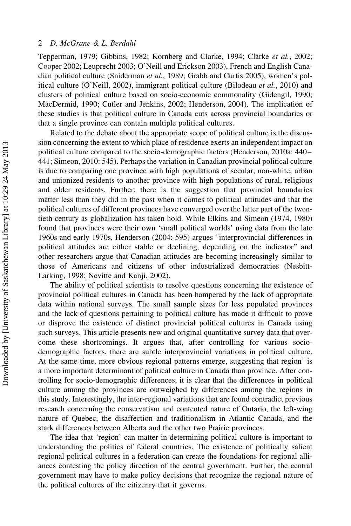Tepperman, 1979; Gibbins, 1982; Kornberg and Clarke, 1994; Clarke et al., 2002; Cooper 2002; Leuprecht 2003; O'Neill and Erickson 2003), French and English Canadian political culture (Sniderman et al., 1989; Grabb and Curtis 2005), women's political culture (O'Neill, 2002), immigrant political culture (Bilodeau *et al.*, 2010) and clusters of political culture based on socio-economic commonality (Gidengil, 1990; MacDermid, 1990; Cutler and Jenkins, 2002; Henderson, 2004). The implication of these studies is that political culture in Canada cuts across provincial boundaries or that a single province can contain multiple political cultures.

Related to the debate about the appropriate scope of political culture is the discussion concerning the extent to which place of residence exerts an independent impact on political culture compared to the socio-demographic factors (Henderson, 2010a: 440– 441; Simeon, 2010: 545). Perhaps the variation in Canadian provincial political culture is due to comparing one province with high populations of secular, non-white, urban and unionized residents to another province with high populations of rural, religious and older residents. Further, there is the suggestion that provincial boundaries matter less than they did in the past when it comes to political attitudes and that the political cultures of different provinces have converged over the latter part of the twentieth century as globalization has taken hold. While Elkins and Simeon (1974, 1980) found that provinces were their own 'small political worlds' using data from the late 1960s and early 1970s, Henderson (2004: 595) argues "interprovincial differences in political attitudes are either stable or declining, depending on the indicator" and other researchers argue that Canadian attitudes are becoming increasingly similar to those of Americans and citizens of other industrialized democracies (Nesbitt-Larking, 1998; Nevitte and Kanji, 2002).

The ability of political scientists to resolve questions concerning the existence of provincial political cultures in Canada has been hampered by the lack of appropriate data within national surveys. The small sample sizes for less populated provinces and the lack of questions pertaining to political culture has made it difficult to prove or disprove the existence of distinct provincial political cultures in Canada using such surveys. This article presents new and original quantitative survey data that overcome these shortcomings. It argues that, after controlling for various sociodemographic factors, there are subtle interprovincial variations in political culture. At the same time, more obvious regional patterns emerge, suggesting that region<sup>1</sup> is a more important determinant of political culture in Canada than province. After controlling for socio-demographic differences, it is clear that the differences in political culture among the provinces are outweighed by differences among the regions in this study. Interestingly, the inter-regional variations that are found contradict previous research concerning the conservatism and contented nature of Ontario, the left-wing nature of Quebec, the disaffection and traditionalism in Atlantic Canada, and the stark differences between Alberta and the other two Prairie provinces.

The idea that 'region' can matter in determining political culture is important to understanding the politics of federal countries. The existence of politically salient regional political cultures in a federation can create the foundations for regional alliances contesting the policy direction of the central government. Further, the central government may have to make policy decisions that recognize the regional nature of the political cultures of the citizenry that it governs.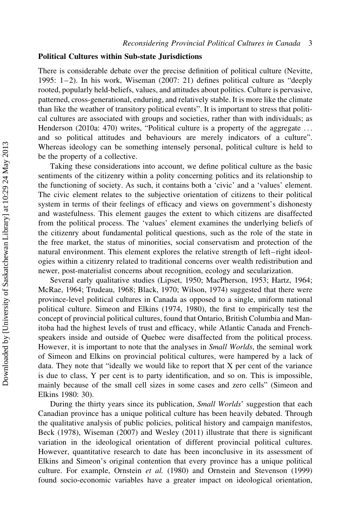#### Political Cultures within Sub-state Jurisdictions

There is considerable debate over the precise definition of political culture (Nevitte, 1995: 1 – 2). In his work, Wiseman (2007: 21) defines political culture as "deeply rooted, popularly held-beliefs, values, and attitudes about politics. Culture is pervasive, patterned, cross-generational, enduring, and relatively stable. It is more like the climate than like the weather of transitory political events". It is important to stress that political cultures are associated with groups and societies, rather than with individuals; as Henderson (2010a: 470) writes, "Political culture is a property of the aggregate ... and so political attitudes and behaviours are merely indicators of a culture". Whereas ideology can be something intensely personal, political culture is held to be the property of a collective.

Taking these considerations into account, we define political culture as the basic sentiments of the citizenry within a polity concerning politics and its relationship to the functioning of society. As such, it contains both a 'civic' and a 'values' element. The civic element relates to the subjective orientation of citizens to their political system in terms of their feelings of efficacy and views on government's dishonesty and wastefulness. This element gauges the extent to which citizens are disaffected from the political process. The 'values' element examines the underlying beliefs of the citizenry about fundamental political questions, such as the role of the state in the free market, the status of minorities, social conservatism and protection of the natural environment. This element explores the relative strength of left – right ideologies within a citizenry related to traditional concerns over wealth redistribution and newer, post-materialist concerns about recognition, ecology and secularization.

Several early qualitative studies (Lipset, 1950; MacPherson, 1953; Hartz, 1964; McRae, 1964; Trudeau, 1968; Black, 1970; Wilson, 1974) suggested that there were province-level political cultures in Canada as opposed to a single, uniform national political culture. Simeon and Elkins (1974, 1980), the first to empirically test the concept of provincial political cultures, found that Ontario, British Columbia and Manitoba had the highest levels of trust and efficacy, while Atlantic Canada and Frenchspeakers inside and outside of Quebec were disaffected from the political process. However, it is important to note that the analyses in *Small Worlds*, the seminal work of Simeon and Elkins on provincial political cultures, were hampered by a lack of data. They note that "ideally we would like to report that X per cent of the variance is due to class, Y per cent is to party identification, and so on. This is impossible, mainly because of the small cell sizes in some cases and zero cells" (Simeon and Elkins 1980: 30).

During the thirty years since its publication, Small Worlds' suggestion that each Canadian province has a unique political culture has been heavily debated. Through the qualitative analysis of public policies, political history and campaign manifestos, Beck (1978), Wiseman (2007) and Wesley (2011) illustrate that there is significant variation in the ideological orientation of different provincial political cultures. However, quantitative research to date has been inconclusive in its assessment of Elkins and Simeon's original contention that every province has a unique political culture. For example, Ornstein et al.  $(1980)$  and Ornstein and Stevenson  $(1999)$ found socio-economic variables have a greater impact on ideological orientation,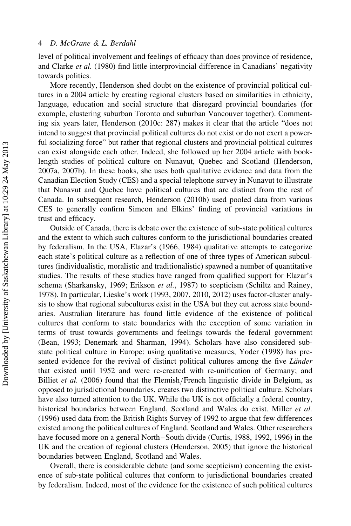level of political involvement and feelings of efficacy than does province of residence, and Clarke et al. (1980) find little interprovincial difference in Canadians' negativity towards politics.

More recently, Henderson shed doubt on the existence of provincial political cultures in a 2004 article by creating regional clusters based on similarities in ethnicity, language, education and social structure that disregard provincial boundaries (for example, clustering suburban Toronto and suburban Vancouver together). Commenting six years later, Henderson (2010c: 287) makes it clear that the article "does not intend to suggest that provincial political cultures do not exist or do not exert a powerful socializing force" but rather that regional clusters and provincial political cultures can exist alongside each other. Indeed, she followed up her 2004 article with booklength studies of political culture on Nunavut, Quebec and Scotland (Henderson, 2007a, 2007b). In these books, she uses both qualitative evidence and data from the Canadian Election Study (CES) and a special telephone survey in Nunavut to illustrate that Nunavut and Quebec have political cultures that are distinct from the rest of Canada. In subsequent research, Henderson (2010b) used pooled data from various CES to generally confirm Simeon and Elkins' finding of provincial variations in trust and efficacy.

Outside of Canada, there is debate over the existence of sub-state political cultures and the extent to which such cultures conform to the jurisdictional boundaries created by federalism. In the USA, Elazar's (1966, 1984) qualitative attempts to categorize each state's political culture as a reflection of one of three types of American subcultures (individualistic, moralistic and traditionalistic) spawned a number of quantitative studies. The results of these studies have ranged from qualified support for Elazar's schema (Sharkansky, 1969; Erikson et al., 1987) to scepticism (Schiltz and Rainey, 1978). In particular, Lieske's work (1993, 2007, 2010, 2012) uses factor-cluster analysis to show that regional subcultures exist in the USA but they cut across state boundaries. Australian literature has found little evidence of the existence of political cultures that conform to state boundaries with the exception of some variation in terms of trust towards governments and feelings towards the federal government (Bean, 1993; Denemark and Sharman, 1994). Scholars have also considered substate political culture in Europe: using qualitative measures, Yoder (1998) has presented evidence for the revival of distinct political cultures among the five *Länder* that existed until 1952 and were re-created with re-unification of Germany; and Billiet et al. (2006) found that the Flemish/French linguistic divide in Belgium, as opposed to jurisdictional boundaries, creates two distinctive political culture. Scholars have also turned attention to the UK. While the UK is not officially a federal country, historical boundaries between England, Scotland and Wales do exist. Miller et al. (1996) used data from the British Rights Survey of 1992 to argue that few differences existed among the political cultures of England, Scotland and Wales. Other researchers have focused more on a general North –South divide (Curtis, 1988, 1992, 1996) in the UK and the creation of regional clusters (Henderson, 2005) that ignore the historical boundaries between England, Scotland and Wales.

Overall, there is considerable debate (and some scepticism) concerning the existence of sub-state political cultures that conform to jurisdictional boundaries created by federalism. Indeed, most of the evidence for the existence of such political cultures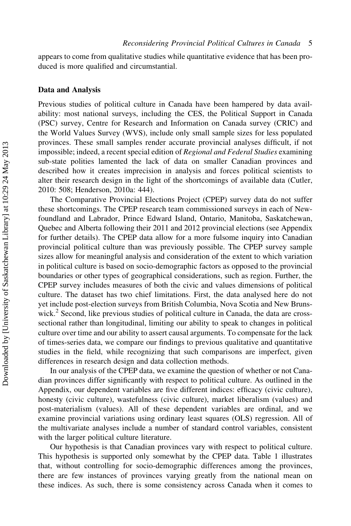appears to come from qualitative studies while quantitative evidence that has been produced is more qualified and circumstantial.

#### Data and Analysis

Previous studies of political culture in Canada have been hampered by data availability: most national surveys, including the CES, the Political Support in Canada (PSC) survey, Centre for Research and Information on Canada survey (CRIC) and the World Values Survey (WVS), include only small sample sizes for less populated provinces. These small samples render accurate provincial analyses difficult, if not impossible; indeed, a recent special edition of Regional and Federal Studies examining sub-state polities lamented the lack of data on smaller Canadian provinces and described how it creates imprecision in analysis and forces political scientists to alter their research design in the light of the shortcomings of available data (Cutler, 2010: 508; Henderson, 2010a: 444).

The Comparative Provincial Elections Project (CPEP) survey data do not suffer these shortcomings. The CPEP research team commissioned surveys in each of Newfoundland and Labrador, Prince Edward Island, Ontario, Manitoba, Saskatchewan, Quebec and Alberta following their 2011 and 2012 provincial elections (see Appendix for further details). The CPEP data allow for a more fulsome inquiry into Canadian provincial political culture than was previously possible. The CPEP survey sample sizes allow for meaningful analysis and consideration of the extent to which variation in political culture is based on socio-demographic factors as opposed to the provincial boundaries or other types of geographical considerations, such as region. Further, the CPEP survey includes measures of both the civic and values dimensions of political culture. The dataset has two chief limitations. First, the data analysed here do not yet include post-election surveys from British Columbia, Nova Scotia and New Brunswick.<sup>2</sup> Second, like previous studies of political culture in Canada, the data are crosssectional rather than longitudinal, limiting our ability to speak to changes in political culture over time and our ability to assert causal arguments. To compensate for the lack of times-series data, we compare our findings to previous qualitative and quantitative studies in the field, while recognizing that such comparisons are imperfect, given differences in research design and data collection methods.

In our analysis of the CPEP data, we examine the question of whether or not Canadian provinces differ significantly with respect to political culture. As outlined in the Appendix, our dependent variables are five different indices: efficacy (civic culture), honesty (civic culture), wastefulness (civic culture), market liberalism (values) and post-materialism (values). All of these dependent variables are ordinal, and we examine provincial variations using ordinary least squares (OLS) regression. All of the multivariate analyses include a number of standard control variables, consistent with the larger political culture literature.

Our hypothesis is that Canadian provinces vary with respect to political culture. This hypothesis is supported only somewhat by the CPEP data. Table 1 illustrates that, without controlling for socio-demographic differences among the provinces, there are few instances of provinces varying greatly from the national mean on these indices. As such, there is some consistency across Canada when it comes to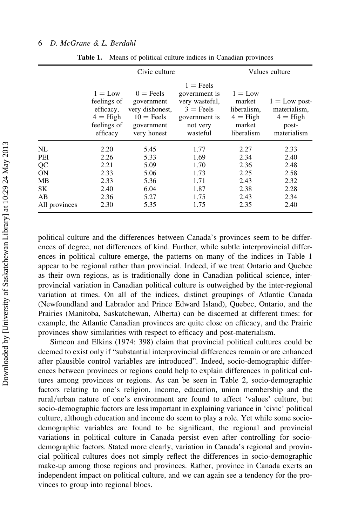|               | Civic culture                                                                  |                                                                                                         |                                                                                                        | Values culture                                                           |                                                                       |
|---------------|--------------------------------------------------------------------------------|---------------------------------------------------------------------------------------------------------|--------------------------------------------------------------------------------------------------------|--------------------------------------------------------------------------|-----------------------------------------------------------------------|
|               | $1 = Low$<br>feelings of<br>efficacy,<br>$4 =$ High<br>feelings of<br>efficacy | $0 = \text{Feels}$<br>government<br>very dishonest.<br>$10 = \text{Feels}$<br>government<br>very honest | $1 =$ Feels<br>government is<br>very wasteful,<br>$3 =$ Feels<br>government is<br>not very<br>wasteful | $1 = Low$<br>market<br>liberalism,<br>$4 =$ High<br>market<br>liberalism | $1 =$ Low post-<br>materialism,<br>$4 =$ High<br>post-<br>materialism |
| NI.           | 2.20                                                                           | 5.45                                                                                                    | 1.77                                                                                                   | 2.27                                                                     | 2.33                                                                  |
| PEI           | 2.26                                                                           | 5.33                                                                                                    | 1.69                                                                                                   | 2.34                                                                     | 2.40                                                                  |
| QC            | 2.21                                                                           | 5.09                                                                                                    | 1.70                                                                                                   | 2.36                                                                     | 2.48                                                                  |
| <b>ON</b>     | 2.33                                                                           | 5.06                                                                                                    | 1.73                                                                                                   | 2.25                                                                     | 2.58                                                                  |
| <b>MB</b>     | 2.33                                                                           | 5.36                                                                                                    | 1.71                                                                                                   | 2.43                                                                     | 2.32                                                                  |
| SK.           | 2.40                                                                           | 6.04                                                                                                    | 1.87                                                                                                   | 2.38                                                                     | 2.28                                                                  |
| AB            | 2.36                                                                           | 5.27                                                                                                    | 1.75                                                                                                   | 2.43                                                                     | 2.34                                                                  |
| All provinces | 2.30                                                                           | 5.35                                                                                                    | 1.75                                                                                                   | 2.35                                                                     | 2.40                                                                  |

Table 1. Means of political culture indices in Canadian provinces

political culture and the differences between Canada's provinces seem to be differences of degree, not differences of kind. Further, while subtle interprovincial differences in political culture emerge, the patterns on many of the indices in Table 1 appear to be regional rather than provincial. Indeed, if we treat Ontario and Quebec as their own regions, as is traditionally done in Canadian political science, interprovincial variation in Canadian political culture is outweighed by the inter-regional variation at times. On all of the indices, distinct groupings of Atlantic Canada (Newfoundland and Labrador and Prince Edward Island), Quebec, Ontario, and the Prairies (Manitoba, Saskatchewan, Alberta) can be discerned at different times: for example, the Atlantic Canadian provinces are quite close on efficacy, and the Prairie provinces show similarities with respect to efficacy and post-materialism.

Simeon and Elkins (1974: 398) claim that provincial political cultures could be deemed to exist only if "substantial interprovincial differences remain or are enhanced after plausible control variables are introduced". Indeed, socio-demographic differences between provinces or regions could help to explain differences in political cultures among provinces or regions. As can be seen in Table 2, socio-demographic factors relating to one's religion, income, education, union membership and the rural/urban nature of one's environment are found to affect 'values' culture, but socio-demographic factors are less important in explaining variance in 'civic' political culture, although education and income do seem to play a role. Yet while some sociodemographic variables are found to be significant, the regional and provincial variations in political culture in Canada persist even after controlling for sociodemographic factors. Stated more clearly, variation in Canada's regional and provincial political cultures does not simply reflect the differences in socio-demographic make-up among those regions and provinces. Rather, province in Canada exerts an independent impact on political culture, and we can again see a tendency for the provinces to group into regional blocs.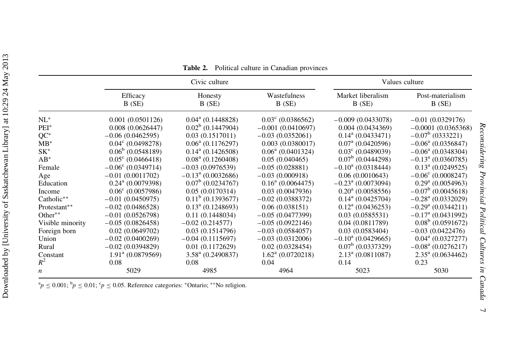|                  | Civic culture                 |                                 |                                 | Values culture                 |                                  |
|------------------|-------------------------------|---------------------------------|---------------------------------|--------------------------------|----------------------------------|
|                  | Efficacy<br>B(SE)             | Honesty<br>B(SE)                | Wastefulness<br>B(SE)           | Market liberalism<br>B(SE)     | Post-materialism<br>B(SE)        |
| $NL^*$           | 0.001(0.0501126)              | $0.04^{\mathrm{a}}$ (0.1448828) | $0.03^{\circ}$ (0.0386562)      | $-0.009(0.0433078)$            | $-0.01(0.0329176)$               |
| PEI*             | 0.008(0.0626447)              | $0.02^b$ (0.1447904)            | $-0.001(0.0410697)$             | 0.004(0.0434369)               | $-0.0001(0.0365368)$             |
| $QC^*$           | $-0.06(0.0462595)$            | 0.03(0.1517011)                 | $-0.03(0.0352061)$              | $0.14^a$ (0.0433471)           | $-0.07^b$ (0333221)              |
| $MB^*$           | $0.04^{\circ}$ (0.0498278)    | $0.06^{\text{a}}$ (0.1176297)   | 0.003(0.0380017)                | $0.07a$ (0.0420596)            | $-0.06^{\text{a}}$ (0.0356847)   |
| $SK^*$           | $0.06^b$ (0.0548189)          | $0.14^{\mathrm{a}}$ (0.1426508) | $0.06^a$ (0.0401324)            | $0.03^{\circ}$ (0.0489039)     | $-0.06^{\rm a}$ (0.0348304)      |
| $AB^*$           | $0.05^{\circ}$ (0.0466418)    | $0.08^{\text{a}}$ (0.1260408)   | 0.05(0.040465)                  | $0.07^b$ (0.0444298)           | $-0.13^{\text{a}}$ (0.0360785)   |
| Female           | $-0.06^{\circ}$ (0.0349714)   | $-0.03(0.0976539)$              | $-0.05(0.028881)$               | $-0.10^a$ (0.0318444)          | $0.13^a$ (0.0249525)             |
| Age              | $-0.01(0.0011702)$            | $-0.13^a$ (0.0032686)           | $-0.03(0.000918)$               | 0.06(0.0010643)                | $-0.06^{\circ}$ (0.0008247)      |
| Education        | $0.24^{\text{a}}$ (0.0079398) | $0.07^b$ (0.0234767)            | $0.16^a$ (0.0064475)            | $-0.23^{\text{a}}$ (0.0073094) | $0.29^{\rm a}$ (0.0054963)       |
| Income           | $0.06^{\circ}$ (0.0057986)    | 0.05(0.0170314)                 | 0.03(0.0047936)                 | $0.20^a$ (0.0058556)           | $-0.07^b$ (0.0045618)            |
| Catholic**       | $-0.01(0.0450975)$            | $0.11^b$ (0.1393677)            | $-0.02(0.0388372)$              | $0.14^a$ (0.0425704)           | $-0.28$ <sup>a</sup> (0.0332029) |
| Protestant**     | $-0.02(0.0486528)$            | $0.13^a$ (0.1248693)            | 0.06(0.038151)                  | $0.12^a$ (0.0436253)           | $-0.29^{\rm a}$ (0.0344211)      |
| Other $**$       | $-0.01(0.0526798)$            | 0.11(0.1448034)                 | $-0.05(0.0477399)$              | 0.03(0.0585531)                | $-0.17$ <sup>a</sup> (0.0431992) |
| Visible minority | $-0.05(0.0826458)$            | $-0.02(0.214577)$               | $-0.05(0.0922146)$              | 0.04(0.0811789)                | $0.08^b$ (0.0591672)             |
| Foreign born     | 0.02(0.0649702)               | 0.03(0.1514796)                 | $-0.03(0.0584057)$              | 0.03(0.0583404)                | $-0.03(0.0422476)$               |
| Union            | $-0.02(0.0400269)$            | $-0.04(0.1115697)$              | $-0.03(0.0312006)$              | $-0.10^{\circ}$ (0.0429665)    | $0.04^a$ (0.0327277)             |
| Rural            | $-0.02(0.0394829)$            | 0.01(0.1172629)                 | 0.02(0.0328454)                 | $0.07^b$ (0.0337329)           | $-0.08a$ (0.0276217)             |
| Constant         | $1.91a$ (0.0879569)           | $3.58a$ (0.2490837)             | $1.62^{\mathrm{a}}$ (0.0720218) | $2.13^a$ (0.0811087)           | $2.35^a$ (0.0634462)             |
| $R^2$            | 0.08                          | 0.08                            | 0.04                            | 0.14                           | 0.23                             |
| $\boldsymbol{n}$ | 5029                          | 4985                            | 4964                            | 5023                           | 5030                             |

**Table 2.** Political culture in Canadian provinces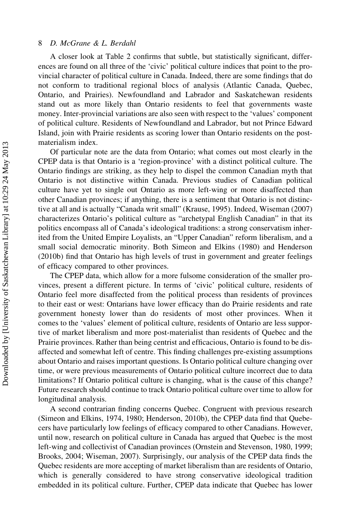A closer look at Table 2 confirms that subtle, but statistically significant, differences are found on all three of the 'civic' political culture indices that point to the provincial character of political culture in Canada. Indeed, there are some findings that do not conform to traditional regional blocs of analysis (Atlantic Canada, Quebec, Ontario, and Prairies). Newfoundland and Labrador and Saskatchewan residents stand out as more likely than Ontario residents to feel that governments waste money. Inter-provincial variations are also seen with respect to the 'values' component of political culture. Residents of Newfoundland and Labrador, but not Prince Edward Island, join with Prairie residents as scoring lower than Ontario residents on the postmaterialism index.

Of particular note are the data from Ontario; what comes out most clearly in the CPEP data is that Ontario is a 'region-province' with a distinct political culture. The Ontario findings are striking, as they help to dispel the common Canadian myth that Ontario is not distinctive within Canada. Previous studies of Canadian political culture have yet to single out Ontario as more left-wing or more disaffected than other Canadian provinces; if anything, there is a sentiment that Ontario is not distinctive at all and is actually "Canada writ small" (Krause, 1995). Indeed, Wiseman (2007) characterizes Ontario's political culture as "archetypal English Canadian" in that its politics encompass all of Canada's ideological traditions: a strong conservatism inherited from the United Empire Loyalists, an "Upper Canadian" reform liberalism, and a small social democratic minority. Both Simeon and Elkins (1980) and Henderson (2010b) find that Ontario has high levels of trust in government and greater feelings of efficacy compared to other provinces.

The CPEP data, which allow for a more fulsome consideration of the smaller provinces, present a different picture. In terms of 'civic' political culture, residents of Ontario feel more disaffected from the political process than residents of provinces to their east or west: Ontarians have lower efficacy than do Prairie residents and rate government honesty lower than do residents of most other provinces. When it comes to the 'values' element of political culture, residents of Ontario are less supportive of market liberalism and more post-materialist than residents of Quebec and the Prairie provinces. Rather than being centrist and efficacious, Ontario is found to be disaffected and somewhat left of centre. This finding challenges pre-existing assumptions about Ontario and raises important questions. Is Ontario political culture changing over time, or were previous measurements of Ontario political culture incorrect due to data limitations? If Ontario political culture is changing, what is the cause of this change? Future research should continue to track Ontario political culture over time to allow for longitudinal analysis.

A second contrarian finding concerns Quebec. Congruent with previous research (Simeon and Elkins, 1974, 1980; Henderson, 2010b), the CPEP data find that Quebecers have particularly low feelings of efficacy compared to other Canadians. However, until now, research on political culture in Canada has argued that Quebec is the most left-wing and collectivist of Canadian provinces (Ornstein and Stevenson, 1980, 1999; Brooks, 2004; Wiseman, 2007). Surprisingly, our analysis of the CPEP data finds the Quebec residents are more accepting of market liberalism than are residents of Ontario, which is generally considered to have strong conservative ideological tradition embedded in its political culture. Further, CPEP data indicate that Quebec has lower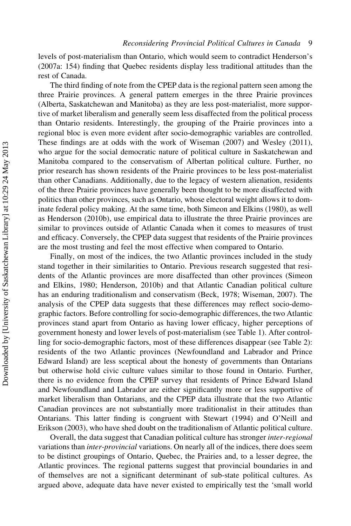levels of post-materialism than Ontario, which would seem to contradict Henderson's (2007a: 154) finding that Quebec residents display less traditional attitudes than the rest of Canada.

The third finding of note from the CPEP data is the regional pattern seen among the three Prairie provinces. A general pattern emerges in the three Prairie provinces (Alberta, Saskatchewan and Manitoba) as they are less post-materialist, more supportive of market liberalism and generally seem less disaffected from the political process than Ontario residents. Interestingly, the grouping of the Prairie provinces into a regional bloc is even more evident after socio-demographic variables are controlled. These findings are at odds with the work of Wiseman (2007) and Wesley (2011), who argue for the social democratic nature of political culture in Saskatchewan and Manitoba compared to the conservatism of Albertan political culture. Further, no prior research has shown residents of the Prairie provinces to be less post-materialist than other Canadians. Additionally, due to the legacy of western alienation, residents of the three Prairie provinces have generally been thought to be more disaffected with politics than other provinces, such as Ontario, whose electoral weight allows it to dominate federal policy making. At the same time, both Simeon and Elkins (1980), as well as Henderson (2010b), use empirical data to illustrate the three Prairie provinces are similar to provinces outside of Atlantic Canada when it comes to measures of trust and efficacy. Conversely, the CPEP data suggest that residents of the Prairie provinces are the most trusting and feel the most effective when compared to Ontario.

Finally, on most of the indices, the two Atlantic provinces included in the study stand together in their similarities to Ontario. Previous research suggested that residents of the Atlantic provinces are more disaffected than other provinces (Simeon and Elkins, 1980; Henderson, 2010b) and that Atlantic Canadian political culture has an enduring traditionalism and conservatism (Beck, 1978; Wiseman, 2007). The analysis of the CPEP data suggests that these differences may reflect socio-demographic factors. Before controlling for socio-demographic differences, the two Atlantic provinces stand apart from Ontario as having lower efficacy, higher perceptions of government honesty and lower levels of post-materialism (see Table 1). After controlling for socio-demographic factors, most of these differences disappear (see Table 2): residents of the two Atlantic provinces (Newfoundland and Labrador and Prince Edward Island) are less sceptical about the honesty of governments than Ontarians but otherwise hold civic culture values similar to those found in Ontario. Further, there is no evidence from the CPEP survey that residents of Prince Edward Island and Newfoundland and Labrador are either significantly more or less supportive of market liberalism than Ontarians, and the CPEP data illustrate that the two Atlantic Canadian provinces are not substantially more traditionalist in their attitudes than Ontarians. This latter finding is congruent with Stewart (1994) and O'Neill and Erikson (2003), who have shed doubt on the traditionalism of Atlantic political culture.

Overall, the data suggest that Canadian political culture has stronger inter-regional variations than inter-provincial variations. On nearly all of the indices, there does seem to be distinct groupings of Ontario, Quebec, the Prairies and, to a lesser degree, the Atlantic provinces. The regional patterns suggest that provincial boundaries in and of themselves are not a significant determinant of sub-state political cultures. As argued above, adequate data have never existed to empirically test the 'small world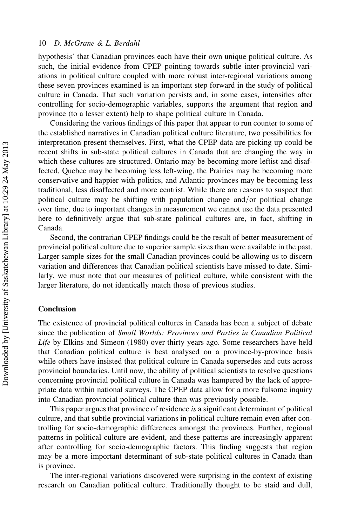hypothesis' that Canadian provinces each have their own unique political culture. As such, the initial evidence from CPEP pointing towards subtle inter-provincial variations in political culture coupled with more robust inter-regional variations among these seven provinces examined is an important step forward in the study of political culture in Canada. That such variation persists and, in some cases, intensifies after controlling for socio-demographic variables, supports the argument that region and province (to a lesser extent) help to shape political culture in Canada.

Considering the various findings of this paper that appear to run counter to some of the established narratives in Canadian political culture literature, two possibilities for interpretation present themselves. First, what the CPEP data are picking up could be recent shifts in sub-state political cultures in Canada that are changing the way in which these cultures are structured. Ontario may be becoming more leftist and disaffected, Quebec may be becoming less left-wing, the Prairies may be becoming more conservative and happier with politics, and Atlantic provinces may be becoming less traditional, less disaffected and more centrist. While there are reasons to suspect that political culture may be shifting with population change and/or political change over time, due to important changes in measurement we cannot use the data presented here to definitively argue that sub-state political cultures are, in fact, shifting in Canada.

Second, the contrarian CPEP findings could be the result of better measurement of provincial political culture due to superior sample sizes than were available in the past. Larger sample sizes for the small Canadian provinces could be allowing us to discern variation and differences that Canadian political scientists have missed to date. Similarly, we must note that our measures of political culture, while consistent with the larger literature, do not identically match those of previous studies.

#### Conclusion

The existence of provincial political cultures in Canada has been a subject of debate since the publication of Small Worlds: Provinces and Parties in Canadian Political Life by Elkins and Simeon (1980) over thirty years ago. Some researchers have held that Canadian political culture is best analysed on a province-by-province basis while others have insisted that political culture in Canada supersedes and cuts across provincial boundaries. Until now, the ability of political scientists to resolve questions concerning provincial political culture in Canada was hampered by the lack of appropriate data within national surveys. The CPEP data allow for a more fulsome inquiry into Canadian provincial political culture than was previously possible.

This paper argues that province of residence is a significant determinant of political culture, and that subtle provincial variations in political culture remain even after controlling for socio-demographic differences amongst the provinces. Further, regional patterns in political culture are evident, and these patterns are increasingly apparent after controlling for socio-demographic factors. This finding suggests that region may be a more important determinant of sub-state political cultures in Canada than is province.

The inter-regional variations discovered were surprising in the context of existing research on Canadian political culture. Traditionally thought to be staid and dull,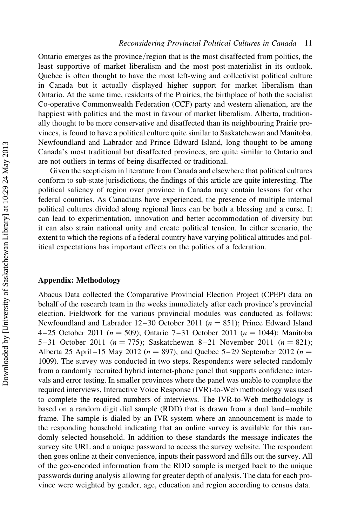#### Reconsidering Provincial Political Cultures in Canada 11

Ontario emerges as the province/region that is the most disaffected from politics, the least supportive of market liberalism and the most post-materialist in its outlook. Quebec is often thought to have the most left-wing and collectivist political culture in Canada but it actually displayed higher support for market liberalism than Ontario. At the same time, residents of the Prairies, the birthplace of both the socialist Co-operative Commonwealth Federation (CCF) party and western alienation, are the happiest with politics and the most in favour of market liberalism. Alberta, traditionally thought to be more conservative and disaffected than its neighbouring Prairie provinces, is found to have a political culture quite similar to Saskatchewan and Manitoba. Newfoundland and Labrador and Prince Edward Island, long thought to be among Canada's most traditional but disaffected provinces, are quite similar to Ontario and are not outliers in terms of being disaffected or traditional.

Given the scepticism in literature from Canada and elsewhere that political cultures conform to sub-state jurisdictions, the findings of this article are quite interesting. The political saliency of region over province in Canada may contain lessons for other federal countries. As Canadians have experienced, the presence of multiple internal political cultures divided along regional lines can be both a blessing and a curse. It can lead to experimentation, innovation and better accommodation of diversity but it can also strain national unity and create political tension. In either scenario, the extent to which the regions of a federal country have varying political attitudes and political expectations has important effects on the politics of a federation.

#### Appendix: Methodology

Abacus Data collected the Comparative Provincial Election Project (CPEP) data on behalf of the research team in the weeks immediately after each province's provincial election. Fieldwork for the various provincial modules was conducted as follows: Newfoundland and Labrador  $12-30$  October 2011 ( $n = 851$ ); Prince Edward Island 4 – 25 October 2011 ( $n = 509$ ); Ontario 7 – 31 October 2011 ( $n = 1044$ ); Manitoba 5-31 October 2011 ( $n = 775$ ); Saskatchewan 8-21 November 2011 ( $n = 821$ ); Alberta 25 April–15 May 2012 ( $n = 897$ ), and Quebec 5–29 September 2012 ( $n =$ 1009). The survey was conducted in two steps. Respondents were selected randomly from a randomly recruited hybrid internet-phone panel that supports confidence intervals and error testing. In smaller provinces where the panel was unable to complete the required interviews, Interactive Voice Response (IVR)-to-Web methodology was used to complete the required numbers of interviews. The IVR-to-Web methodology is based on a random digit dial sample (RDD) that is drawn from a dual land –mobile frame. The sample is dialed by an IVR system where an announcement is made to the responding household indicating that an online survey is available for this randomly selected household. In addition to these standards the message indicates the survey site URL and a unique password to access the survey website. The respondent then goes online at their convenience, inputs their password and fills out the survey. All of the geo-encoded information from the RDD sample is merged back to the unique passwords during analysis allowing for greater depth of analysis. The data for each province were weighted by gender, age, education and region according to census data.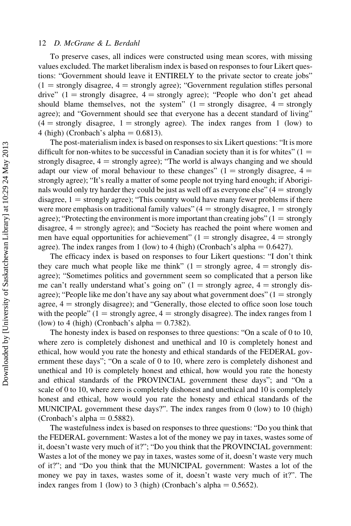To preserve cases, all indices were constructed using mean scores, with missing values excluded. The market liberalism index is based on responses to four Likert questions: "Government should leave it ENTIRELY to the private sector to create jobs"  $(1 =$  strongly disagree,  $4 =$  strongly agree); "Government regulation stifles personal drive" (1 = strongly disagree, 4 = strongly agree); "People who don't get ahead should blame themselves, not the system"  $(1 =$  strongly disagree,  $4 =$  strongly agree); and "Government should see that everyone has a decent standard of living"  $(4 =$  strongly disagree,  $1 =$  strongly agree). The index ranges from 1 (low) to 4 (high) (Cronbach's alpha  $= 0.6813$ ).

The post-materialism index is based on responses to six Likert questions: "It is more difficult for non-whites to be successful in Canadian society than it is for whites"  $(1 =$ strongly disagree,  $4 =$  strongly agree); "The world is always changing and we should adapt our view of moral behaviour to these changes" (1 = strongly disagree,  $4 =$ strongly agree); "It's really a matter of some people not trying hard enough; if Aboriginals would only try harder they could be just as well off as everyone else"  $(4 = \text{strongly})$ disagree,  $1 =$  strongly agree); "This country would have many fewer problems if there were more emphasis on traditional family values"  $(4 =$  strongly disagree,  $1 =$  strongly agree); "Protecting the environment is more important than creating jobs" ( $1 =$  strongly disagree,  $4 =$  strongly agree); and "Society has reached the point where women and men have equal opportunities for achievement" ( $1 =$  strongly disagree,  $4 =$  strongly agree). The index ranges from 1 (low) to 4 (high) (Cronbach's alpha  $= 0.6427$ ).

The efficacy index is based on responses to four Likert questions: "I don't think they care much what people like me think"  $(1 =$  strongly agree,  $4 =$  strongly disagree); "Sometimes politics and government seem so complicated that a person like me can't really understand what's going on" ( $1 =$  strongly agree,  $4 =$  strongly disagree); "People like me don't have any say about what government does"  $(1 =$  strongly agree,  $4 =$  strongly disagree); and "Generally, those elected to office soon lose touch with the people" ( $1 =$  strongly agree,  $4 =$  strongly disagree). The index ranges from 1 (low) to 4 (high) (Cronbach's alpha  $= 0.7382$ ).

The honesty index is based on responses to three questions: "On a scale of 0 to 10, where zero is completely dishonest and unethical and 10 is completely honest and ethical, how would you rate the honesty and ethical standards of the FEDERAL government these days"; "On a scale of 0 to 10, where zero is completely dishonest and unethical and 10 is completely honest and ethical, how would you rate the honesty and ethical standards of the PROVINCIAL government these days"; and "On a scale of 0 to 10, where zero is completely dishonest and unethical and 10 is completely honest and ethical, how would you rate the honesty and ethical standards of the MUNICIPAL government these days?". The index ranges from 0 (low) to 10 (high) (Cronbach's alpha  $= 0.5882$ ).

The wastefulness index is based on responses to three questions: "Do you think that the FEDERAL government: Wastes a lot of the money we pay in taxes, wastes some of it, doesn't waste very much of it?"; "Do you think that the PROVINCIAL government: Wastes a lot of the money we pay in taxes, wastes some of it, doesn't waste very much of it?"; and "Do you think that the MUNICIPAL government: Wastes a lot of the money we pay in taxes, wastes some of it, doesn't waste very much of it?". The index ranges from 1 (low) to 3 (high) (Cronbach's alpha  $= 0.5652$ ).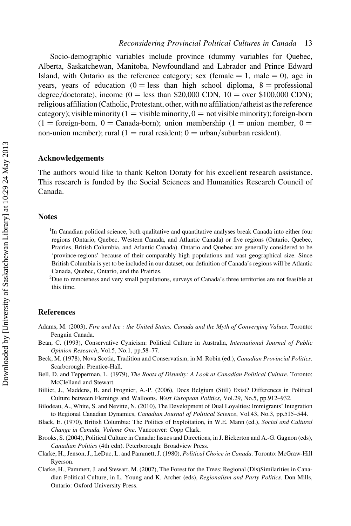Socio-demographic variables include province (dummy variables for Quebec, Alberta, Saskatchewan, Manitoba, Newfoundland and Labrador and Prince Edward Island, with Ontario as the reference category; sex (female  $= 1$ , male  $= 0$ ), age in years, years of education ( $0 =$  less than high school diploma,  $8 =$  professional degree/doctorate), income (0 = less than \$20,000 CDN, 10 = over \$100,000 CDN); religious affiliation (Catholic, Protestant, other, with no affiliation/atheist as the reference category); visible minority (1 = visible minority,  $0 =$  not visible minority); foreign-born  $(1 = \text{foreign-born}, 0 = \text{Canada-born})$ ; union membership  $(1 = \text{union member}, 0 = \text{main number})$ non-union member); rural (1 = rural resident; 0 = urban/suburban resident).

#### Acknowledgements

The authors would like to thank Kelton Doraty for his excellent research assistance. This research is funded by the Social Sciences and Humanities Research Council of Canada.

#### **Notes**

<sup>1</sup>In Canadian political science, both qualitative and quantitative analyses break Canada into either four regions (Ontario, Quebec, Western Canada, and Atlantic Canada) or five regions (Ontario, Quebec, Prairies, British Columbia, and Atlantic Canada). Ontario and Quebec are generally considered to be 'province-regions' because of their comparably high populations and vast geographical size. Since British Columbia is yet to be included in our dataset, our definition of Canada's regions will be Atlantic Canada, Quebec, Ontario, and the Prairies.

<sup>2</sup>Due to remoteness and very small populations, surveys of Canada's three territories are not feasible at this time.

#### References

- Adams, M. (2003), Fire and Ice : the United States, Canada and the Myth of Converging Values. Toronto: Penguin Canada.
- Bean, C. (1993), Conservative Cynicism: Political Culture in Australia, International Journal of Public Opinion Research, Vol.5, No.1, pp.58–77.
- Beck, M. (1978), Nova Scotia, Tradition and Conservatism, in M. Robin (ed.), Canadian Provincial Politics. Scarborough: Prentice-Hall.
- Bell, D. and Tepperman, L. (1979), The Roots of Disunity: A Look at Canadian Political Culture. Toronto: McClelland and Stewart.
- Billiet, J., Maddens, B. and Frognier, A.-P. (2006), Does Belgium (Still) Exist? Differences in Political Culture between Flemings and Walloons. West European Politics, Vol.29, No.5, pp.912–932.
- Bilodeau, A., White, S. and Nevitte, N. (2010), The Development of Dual Loyalties: Immigrants' Integration to Regional Canadian Dynamics, Canadian Journal of Political Science, Vol.43, No.3, pp.515-544.
- Black, E. (1970), British Columbia: The Politics of Exploitation, in W.E. Mann (ed.), Social and Cultural Change in Canada, Volume One. Vancouver: Copp Clark.
- Brooks, S. (2004), Political Culture in Canada: Issues and Directions, in J. Bickerton and A.-G. Gagnon (eds), Canadian Politics (4th edn). Peterborough: Broadview Press.
- Clarke, H., Jenson, J., LeDuc, L. and Pammett, J. (1980), Political Choice in Canada. Toronto: McGraw-Hill Ryerson.
- Clarke, H., Pammett, J. and Stewart, M. (2002), The Forest for the Trees: Regional (Dis)Similarities in Canadian Political Culture, in L. Young and K. Archer (eds), Regionalism and Party Politics. Don Mills, Ontario: Oxford University Press.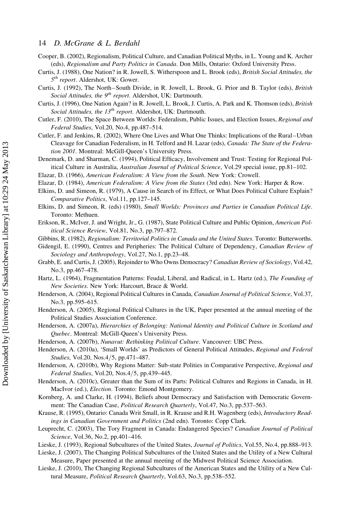- Cooper, B. (2002), Regionalism, Political Culture, and Canadian Political Myths, in L. Young and K. Archer (eds), Regionalism and Party Politics in Canada. Don Mills, Ontario: Oxford University Press.
- Curtis, J. (1988), One Nation? in R. Jowell, S. Witherspoon and L. Brook (eds), British Social Attitudes, the  $5<sup>th</sup>$  report. Aldershot, UK: Gower.
- Curtis, J. (1992), The North–South Divide, in R. Jowell, L. Brook, G. Prior and B. Taylor (eds), British Social Attitudes, the 9<sup>th</sup> report. Aldershot, UK: Dartmouth.
- Curtis, J. (1996), One Nation Again? in R. Jowell, L. Brook, J. Curtis, A. Park and K. Thomson (eds), British Social Attitudes, the  $13^{th}$  report. Aldershot, UK: Dartmouth.
- Cutler, F. (2010), The Space Between Worlds: Federalism, Public Issues, and Election Issues, Regional and Federal Studies, Vol.20, No.4, pp.487–514.
- Cutler, F. and Jenkins, R. (2002), Where One Lives and What One Thinks: Implications of the Rural–Urban Cleavage for Canadian Federalism, in H. Telford and H. Lazar (eds), Canada: The State of the Federation 2001. Montreal: McGill-Queen's University Press.

Denemark, D. and Sharman, C. (1994), Political Efficacy, Involvement and Trust: Testing for Regional Political Culture in Australia, Australian Journal of Political Science, Vol.29 special issue, pp.81–102.

Elazar, D. (1966), American Federalism: A View from the South. New York: Crowell.

- Elazar, D. (1984), American Federalism: A View from the States (3rd edn). New York: Harper & Row.
- Elkins, D. and Simeon, R. (1979), A Cause in Search of its Effect, or What Does Political Culture Explain? Comparative Politics, Vol.11, pp.127–145.
- Elkins, D. and Simeon, R. (eds) (1980), Small Worlds: Provinces and Parties in Canadian Political Life. Toronto: Methuen.
- Erikson, R., McIver, J. and Wright, Jr., G. (1987), State Political Culture and Public Opinion, American Political Science Review, Vol.81, No.3, pp.797–872.
- Gibbins, R. (1982), Regionalism: Territorial Politics in Canada and the United States. Toronto: Butterworths.
- Gidengil, E. (1990), Centres and Peripheries: The Political Culture of Dependency, Canadian Review of Sociology and Anthropology, Vol.27, No.1, pp.23–48.
- Grabb, E. and Curtis, J. (2005), Rejoinder to Who Owns Democracy? Canadian Review of Sociology, Vol.42, No.3, pp.467–478.
- Hartz, L. (1964), Fragmentation Patterns: Feudal, Liberal, and Radical, in L. Hartz (ed.), The Founding of New Societies. New York: Harcourt, Brace & World.
- Henderson, A. (2004), Regional Political Cultures in Canada, Canadian Journal of Political Science, Vol.37, No.3, pp.595–615.
- Henderson, A. (2005), Regional Political Cultures in the UK, Paper presented at the annual meeting of the Political Studies Association Conference.
- Henderson, A. (2007a), Hierarchies of Belonging: National Identity and Political Culture in Scotland and Quebec. Montreal: McGill-Queen's University Press.
- Henderson, A. (2007b), Nunavut: Rethinking Political Culture. Vancouver: UBC Press.
- Henderson, A. (2010a), 'Small Worlds' as Predictors of General Political Attitudes, Regional and Federal Studies, Vol.20, Nos.4/5, pp.471–487.
- Henderson, A. (2010b), Why Regions Matter: Sub-state Polities in Comparative Perspective, Regional and Federal Studies, Vol.20, Nos.4/5, pp.439–445.
- Henderson, A. (2010c), Greater than the Sum of its Parts: Political Cultures and Regions in Canada, in H. MacIvor (ed.), Election. Toronto: Emond Montgomery.
- Kornberg, A. and Clarke, H. (1994), Beliefs about Democracy and Satisfaction with Democratic Government: The Canadian Case, Political Research Quarterly, Vol.47, No.3, pp.537-563.
- Krause, R. (1995), Ontario: Canada Writ Small, in R. Krause and R.H. Wagenberg (eds), Introductory Readings in Canadian Government and Politics (2nd edn). Toronto: Copp Clark.
- Leuprecht, C. (2003), The Tory Fragment in Canada: Endangered Species? Canadian Journal of Political Science, Vol.36, No.2, pp.401–416.
- Lieske, J. (1993), Regional Subcultures of the United States, Journal of Politics, Vol.55, No.4, pp.888–913.
- Lieske, J. (2007), The Changing Political Subcultures of the United States and the Utility of a New Cultural Measure, Paper presented at the annual meeting of the Midwest Political Science Association.
- Lieske, J. (2010), The Changing Regional Subcultures of the American States and the Utility of a New Cultural Measure, Political Research Quarterly, Vol.63, No.3, pp.538-552.